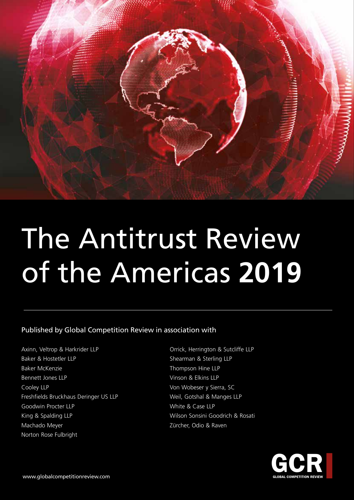

# The Antitrust Review of the Americas **2019**

#### Published by Global Competition Review in association with

Axinn, Veltrop & Harkrider LLP Baker & Hostetler LLP Baker McKenzie Bennett Jones LLP Cooley LLP Freshfields Bruckhaus Deringer US LLP Goodwin Procter LLP King & Spalding LLP Machado Meyer Norton Rose Fulbright

Orrick, Herrington & Sutcliffe LLP Shearman & Sterling LLP Thompson Hine LLP Vinson & Elkins LLP Von Wobeser y Sierra, SC Weil, Gotshal & Manges LLP White & Case LLP Wilson Sonsini Goodrich & Rosati Zürcher, Odio & Raven

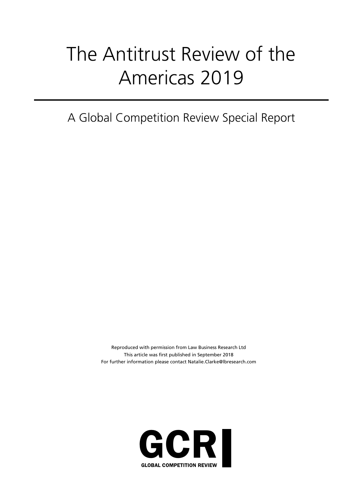## The Antitrust Review of the Americas 2019

A Global Competition Review Special Report

Reproduced with permission from Law Business Research Ltd This article was first published in September 2018 For further information please contact Natalie.Clarke@lbresearch.com

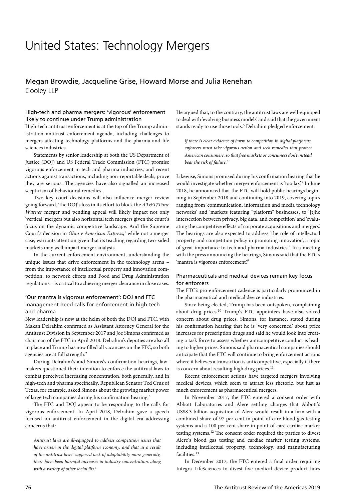### United States: Technology Mergers

#### Megan Browdie, Jacqueline Grise, Howard Morse and Julia Renehan Cooley LLP

#### High-tech and pharma mergers: 'vigorous' enforcement likely to continue under Trump administration

High-tech antitrust enforcement is at the top of the Trump administration antitrust enforcement agenda, including challenges to mergers affecting technology platforms and the pharma and life sciences industries.

Statements by senior leadership at both the US Department of Justice (DOJ) and US Federal Trade Commission (FTC) promise vigorous enforcement in tech and pharma industries, and recent actions against transactions, including non-reportable deals, prove they are serious. The agencies have also signalled an increased scepticism of behavioural remedies.

Two key court decisions will also influence merger review going forward. The DOJ's loss in its effort to block the *AT&T/Time Warner* merger and pending appeal will likely impact not only 'vertical' mergers but also horizontal tech mergers given the court's focus on the dynamic competitive landscape. And the Supreme Court's decision in *Ohio v American Express*,<sup>1</sup> while not a merger case, warrants attention given that its teaching regarding two-sided markets may well impact merger analysis.

In the current enforcement environment, understanding the unique issues that drive enforcement in the technology arena – from the importance of intellectual property and innovation competition, to network effects and Food and Drug Administration regulations – is critical to achieving merger clearance in close cases.

#### 'Our mantra is vigorous enforcement': DOJ and FTC management heed calls for enforcement in high-tech and pharma

New leadership is now at the helm of both the DOJ and FTC, with Makan Delrahim confirmed as Assistant Attorney General for the Antitrust Division in September 2017 and Joe Simons confirmed as chairman of the FTC in April 2018. Delrahim's deputies are also all in place and Trump has now filled all vacancies on the FTC, so both agencies are at full strength.2

During Delrahim's and Simons's confirmation hearings, lawmakers questioned their intention to enforce the antitrust laws to combat perceived increasing concentration, both generally, and in high-tech and pharma specifically. Republican Senator Ted Cruz of Texas, for example, asked Simons about the growing market power of large tech companies during his confirmation hearing.3

The FTC and DOJ appear to be responding to the calls for vigorous enforcement. In April 2018, Delrahim gave a speech focused on antitrust enforcement in the digital era addressing concerns that:

*Antitrust laws are ill-equipped to address competition issues that have arisen in the digital platform economy, and that as a result of the antitrust laws' supposed lack of adaptability more generally, there have been harmful increases in industry concentration, along with a variety of other social ills.*<sup>4</sup>

He argued that, to the contrary, the antitrust laws are well-equipped to deal with 'evolving business models' and said that the government stands ready to use those tools.<sup>5</sup> Delrahim pledged enforcement:

*If there is clear evidence of harm to competition in digital platforms, enforcers must take vigorous action and seek remedies that protect American consumers, so that free markets or consumers don't instead bear the risk of failure.*<sup>6</sup>

Likewise, Simons promised during his confirmation hearing that he would investigate whether merger enforcement is 'too lax'.<sup>7</sup> In June 2018, he announced that the FTC will hold public hearings beginning in September 2018 and continuing into 2019, covering topics ranging from 'communication, information and media technology networks' and 'markets featuring "platform" businesses', to '[t]he intersection between privacy, big data, and competition' and 'evaluating the competitive effects of corporate acquisitions and mergers'. The hearings are also expected to address 'the role of intellectual property and competition policy in promoting innovation', a topic of great importance to tech and pharma industries.<sup>8</sup> In a meeting with the press announcing the hearings, Simons said that the FTC's 'mantra is vigorous enforcement'.<sup>9</sup>

#### Pharmaceuticals and medical devices remain key focus for enforcers

The FTC's pro-enforcement cadence is particularly pronounced in the pharmaceutical and medical device industries.

Since being elected, Trump has been outspoken, complaining about drug prices.10 Trump's FTC appointees have also voiced concern about drug prices. Simons, for instance, stated during his confirmation hearing that he is 'very concerned' about price increases for prescription drugs and said he would look into creating a task force to assess whether anticompetitive conduct is leading to higher prices. Simons said pharmaceutical companies should anticipate that the FTC will continue to bring enforcement actions where it believes a transaction is anticompetitive, especially if there is concern about resulting high drug prices.<sup>11</sup>

Recent enforcement actions have targeted mergers involving medical devices, which seem to attract less rhetoric, but just as much enforcement as pharmaceutical mergers.

In November 2017, the FTC entered a consent order with Abbott Laboratories and Alere settling charges that Abbott's US\$8.3 billion acquisition of Alere would result in a firm with a combined share of 97 per cent in point-of-care blood gas testing systems and a 100 per cent share in point-of-care cardiac marker testing systems.12 The consent order required the parties to divest Alere's blood gas testing and cardiac marker testing systems, including intellectual property, technology, and manufacturing facilities.<sup>13</sup>

In December 2017, the FTC entered a final order requiring Integra LifeSciences to divest five medical device product lines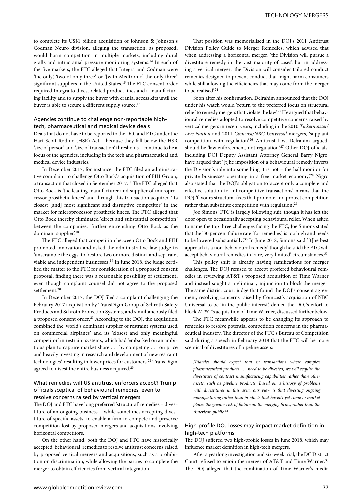to complete its US\$1 billion acquisition of Johnson & Johnson's Codman Neuro division, alleging the transaction, as proposed, would harm competition in multiple markets, including dural grafts and intracranial pressure monitoring systems.14 In each of the five markets, the FTC alleged that Integra and Codman were 'the only', 'two of only three', or '[with Medtronic] the only three' significant suppliers in the United States.15 The FTC consent order required Integra to divest related product lines and a manufacturing facility and to supply the buyer with cranial access kits until the buyer is able to secure a different supply source.<sup>16</sup>

#### Agencies continue to challenge non-reportable hightech, pharmaceutical and medical device deals

Deals that do not have to be reported to the DOJ and FTC under the Hart-Scott-Rodino (HSR) Act – because they fall below the HSR 'size of person' and 'size of transaction' thresholds – continue to be a focus of the agencies, including in the tech and pharmaceutical and medical device industries.

In December 2017, for instance, the FTC filed an administrative complaint to challenge Otto Bock's acquisition of FIH Group, a transaction that closed in September 2017.17 The FTC alleged that Otto Bock is 'the leading manufacturer and supplier of microprocessor prosthetic knees' and through this transaction acquired 'its closest [and] most significant and disruptive competitor' in the market for microprocessor prosthetic knees. The FTC alleged that Otto Bock thereby eliminated 'direct and substantial competition' between the companies, 'further entrenching Otto Bock as the dominant supplier'.<sup>18</sup>

The FTC alleged that competition between Otto Bock and FIH promoted innovation and asked the administrative law judge to 'unscramble the eggs' to 'restore two or more distinct and separate, viable and independent businesses'.19 In June 2018, the judge certified the matter to the FTC for consideration of a proposed consent proposal, finding there was a reasonable possibility of settlement, even though complaint counsel did not agree to the proposed settlement.<sup>20</sup>

In December 2017, the DOJ filed a complaint challenging the February 2017 acquisition by TransDigm Group of Schroth Safety Products and Schroth Protection Systems, and simultaneously filed a proposed consent order.<sup>21</sup> According to the DOJ, the acquisition combined the 'world's dominant supplier of restraint systems used on commercial airplanes' and its 'closest and only meaningful competitor' in restraint systems, which had 'embarked on an ambitious plan to capture market share . . . by competing . . . on price and heavily investing in research and development of new restraint technologies', resulting in lower prices for customers.<sup>22</sup> TransDigm agreed to divest the entire business acquired.<sup>23</sup>

#### What remedies will US antitrust enforcers accept? Trump officials sceptical of behavioural remedies, even to resolve concerns raised by vertical mergers

The DOJ and FTC have long preferred 'structural' remedies – divestiture of an ongoing business – while sometimes accepting divestiture of specific assets, to enable a firm to compete and preserve competition lost by proposed mergers and acquisitions involving horizontal competitors.

On the other hand, both the DOJ and FTC have historically accepted 'behavioural' remedies to resolve antitrust concerns raised by proposed vertical mergers and acquisitions, such as a prohibition on discrimination, while allowing the parties to complete the merger to obtain efficiencies from vertical integration.

That position was memorialised in the DOJ's 2011 Antitrust Division Policy Guide to Merger Remedies, which advised that when addressing a horizontal merger, 'the Division will pursue a divestiture remedy in the vast majority of cases', but in addressing a vertical merger, 'the Division will consider tailored conduct remedies designed to prevent conduct that might harm consumers while still allowing the efficiencies that may come from the merger to be realised?<sup>24</sup>

Soon after his confirmation, Delrahim announced that the DOJ under his watch would 'return to the preferred focus on structural relief to remedy mergers that violate the law'.<sup>25</sup> He argued that behavioural remedies adopted to resolve competitive concerns raised by vertical mergers in recent years, including in the 2010 *Ticketmaster/ Live Nation* and 2011 *Comcast/NBC Universal* mergers, 'supplant competition with regulation'.26 Antitrust law, Delrahim argued, should be 'law enforcement, not regulation'.<sup>27</sup> Other DOJ officials, including DOJ Deputy Assistant Attorney General Barry Nigro, have argued that '[t]he imposition of a behavioural remedy inverts the Division's role into something it is not – the hall monitor for private businesses operating in a free market economy.<sup>28</sup> Nigro also stated that the DOJ's obligation to 'accept only a complete and effective solution to anticompetitive transactions' means that the DOJ 'favours structural fixes that promote and protect competition rather than substitute competition with regulation.<sup>29</sup>

Joe Simons' FTC is largely following suit, though it has left the door open to occasionally accepting behavioural relief. When asked to name the top three challenges facing the FTC, Joe Simons stated that the '30 per cent failure rate [for remedies] is too high and needs to be lowered substantially'.<sup>30</sup> In June 2018, Simons said '[t]he best approach is a non-behavioural remedy' though he said the FTC will accept behavioural remedies in 'rare, very limited' circumstances.<sup>31</sup>

This policy shift is already having ramifications for merger challenges. The DOJ refused to accept proffered behavioural remedies in reviewing AT&T's proposed acquisition of Time Warner and instead sought a preliminary injunction to block the merger. The same district court judge that found the DOJ's consent agreement, resolving concerns raised by Comcast's acquisition of NBC Universal to be 'in the public interest', denied the DOJ's effort to block AT&T's acquisition of Time Warner, discussed further below.

The FTC meanwhile appears to be changing its approach to remedies to resolve potential competition concerns in the pharmaceutical industry. The director of the FTC's Bureau of Competition said during a speech in February 2018 that the FTC will be more sceptical of divestitures of pipeline assets:

*[P]arties should expect that in transactions where complex pharmaceutical products . . . need to be divested, we will require the divestiture of contract manufacturing capabilities rather than other assets, such as pipeline products. Based on a history of problems with divestitures in this area, our view is that divesting ongoing manufacturing rather than products that haven't yet come to market places the greater risk of failure on the merging firms, rather than the American public.*<sup>32</sup>

#### High-profile DOJ losses may impact market definition in high-tech platforms

The DOJ suffered two high-profile losses in June 2018, which may influence market definition in high-tech mergers.

After a yearlong investigation and six-week trial, the DC District Court refused to enjoin the merger of AT&T and Time Warner.<sup>33</sup> The DOJ alleged that the combination of Time Warner's media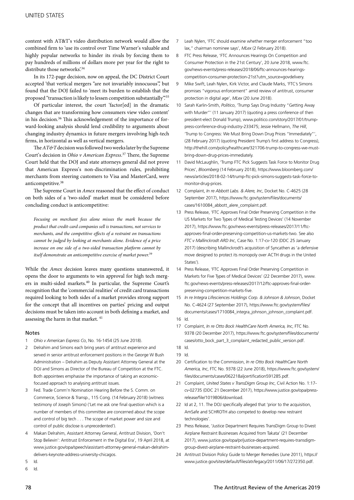content with AT&T's video distribution network would allow the combined firm to 'use its control over Time Warner's valuable and highly popular networks to hinder its rivals by forcing them to pay hundreds of millions of dollars more per year for the right to distribute those networks'.<sup>34</sup>

In its 172-page decision, now on appeal, the DC District Court accepted 'that vertical mergers "are not invariably innocuous", but found that the DOJ failed to 'meet its burden to establish that the proposed "transaction is likely to lessen competition substantially".'35

Of particular interest, the court 'factor[ed] in the dramatic changes that are transforming how consumers view video content' in his decision.<sup>36</sup> This acknowledgement of the importance of forward-looking analysis should lend credibility to arguments about changing industry dynamics in future mergers involving high-tech firms, in horizontal as well as vertical mergers.

The *AT&T* decision was followed two weeks later by the Supreme Court's decision in *Ohio v American Express*. 37 There, the Supreme Court held that the DOJ and state attorneys general did not prove that American Express's non-discrimination rules, prohibiting merchants from steering customers to Visa and MasterCard, were anticompetitive.38

The Supreme Court in *Amex* reasoned that the effect of conduct on both sides of a 'two-sided' market must be considered before concluding conduct is anticompetitive:

*Focusing on merchant fees alone misses the mark because the product that credit-card companies sell is transactions, not services to merchants, and the competitive effects of a restraint on transactions cannot be judged by looking at merchants alone. Evidence of a price increase on one side of a two-sided transaction platform cannot by itself demonstrate an anticompetitive exercise of market power.*<sup>39</sup>

While the *Amex* decision leaves many questions unanswered, it opens the door to arguments to win approval for high tech mergers in multi-sided markets.40 In particular, the Supreme Court's recognition that the 'commercial realities' of credit card transactions required looking to both sides of a market provides strong support for the concept that all incentives on parties' pricing and output decisions must be taken into account in both defining a market, and assessing the harm in that market.<sup>41</sup>

#### Notes

- 1 *Ohio v American Express Co*, No. 16-1454 (25 June 2018).
- 2 Delrahim and Simons each bring years of antitrust experience and served in senior antitrust enforcement positions in the George W Bush Administration – Delrahim as Deputy Assistant Attorney General at the DOJ and Simons as Director of the Bureau of Competition at the FTC. Both appointees emphasise the importance of taking an economicfocused approach to analysing antitrust issues.
- 3 Fed. Trade Comm'n Nomination Hearing Before the S. Comm. on Commerce, Science & Transp., 115 Cong. (14 February 2018) (witness testimony of Joseph Simons) ('Let me ask one final question which is a number of members of this committee are concerned about the scope and control of big tech . . . The scope of market power and size and control of public disclose is unprecedented').
- 4 Makan Delrahim, Assistant Attorney General, Antitrust Division, 'Don't Stop Believin': Antitrust Enforcement in the Digital Era', 19 April 2018, at www.justice.gov/opa/speech/assistant-attorney-general-makan-delrahimdelivers-keynote-address-university-chicagos.
- 5 Id.
- 6 Id.
- 7 Leah Nylen, 'FTC should examine whether merger enforcement "too lax," chairman nominee says', *MLex* (2 February 2018).
- 8 FTC Press Release, 'FTC Announces Hearings On Competition and Consumer Protection in the 21st Century', 20 June 2018, www.ftc. gov/news-events/press-releases/2018/06/ftc-announces-hearingscompetition-consumer-protection-21st?utm\_source=govdelivery.
- 9 Mike Swift, Leah Nylen, Kirk Victor, and Claude Marks, 'FTC's Simons promises "vigorous enforcement" amid review of antitrust, consumer protection in digital age', *MLex* (20 June 2018).
- 10 Sarah Karlin-Smith, *Politico*, 'Trump Says Drug Industry "Getting Away with Murder"' (11 January 2017) (quoting a press conference of then president-elect Donald Trump), www.politico.com/story/2017/01/trumppress-conference-drug-industry-233475; Jessie Hellmann, *The Hill*, 'Trump to Congress: We Must Bring Down Drug Prices "Immediately"', (28 February 2017) (quoting President Trump's first address to Congress), http://thehill.com/policy/healthcare/321706-trump-to-congress-we-mustbring-down-drug-prices-immediately.
- 11 David McLaughlin, 'Trump FTC Pick Suggests Task Force to Monitor Drug Prices', *Bloomberg* (14 February 2018), https://www.bloomberg.com/ news/articles/2018-02-14/trump-ftc-pick-simons-suggests-task-force-tomonitor-drug-prices.
- 12 Complaint, *In re Abbott Labs. & Alere, Inc*, Docket No. C-4625 (28 September 2017), https://www.ftc.gov/system/files/documents/ cases/1610084\_abbott\_alere\_complaint.pdf.
- 13 Press Release, 'FTC Approves Final Order Preserving Competition in the US Markets for Two Types of Medical Testing Devices' (14 November 2017), https://www.ftc.gov/news-events/press-releases/2017/11/ftcapproves-final-order-preserving-competition-us-markets-two. See also *FTC v Mallinckrodt ARD Inc*, Case No. 1:17-cv-120 (DDC 25 January 2017) (describing Mallinckrodt's acquisition of Syncathen as 'a defensive move designed to protect its monopoly over ACTH drugs in the United States').
- 14 Press Release, 'FTC Approves Final Order Preserving Competition in Markets for Five Types of Medical Devices' (22 December 2017), www. ftc.gov/news-events/press-releases/2017/12/ftc-approves-final-orderpreserving-competition-markets-five.
- 15 *In re Integra Lifesciences Holdings Corp. & Johnson & Johnson*, Docket No. C-4624 (27 September 2017), https://www.ftc.gov/system/files/ documents/cases/1710084\_integra\_johnson\_johnson\_complaint.pdf.
- 16 Id.
- 17 Complaint, *In re Otto Bock HealthCare North America, Inc*, FTC No. 9378 (20 December 2017), https://www.ftc.gov/system/files/documents/ cases/otto\_bock\_part\_3\_complaint\_redacted\_public\_version.pdf.
- 18 Id.
- 19 Id.
- 20 Certification to the Commission, *In re Otto Bock HealthCare North America, Inc*, FTC No. 9378 (22 June 2018), https://www.ftc.gov/system/ files/documents/cases/062218aljcertification591285.pdf.
- 21 Complaint, *United States v TransDigm Group Inc*, Civil Action No. 1:17 cv-02735 (DDC 21 December 2017), https://www.justice.gov/opa/pressrelease/file/1019806/download.
- 22 Id at 2, 11. The DOJ specifically alleged that 'prior to the acquisition, AmSafe and SCHROTH also competed to develop new restraint technologies'.
- 23 Press Release, 'Justice Department Requires TransDigm Group to Divest Airplane Restraint Businesses Acquired from Takata' (21 December 2017), www.justice.gov/opa/pr/justice-department-requires-transdigmgroup-divest-airplane-restraint-businesses-acquired.
- 24 Antitrust Division Policy Guide to Merger Remedies (June 2011), https:// www.justice.gov/sites/default/files/atr/legacy/2011/06/17/272350.pdf.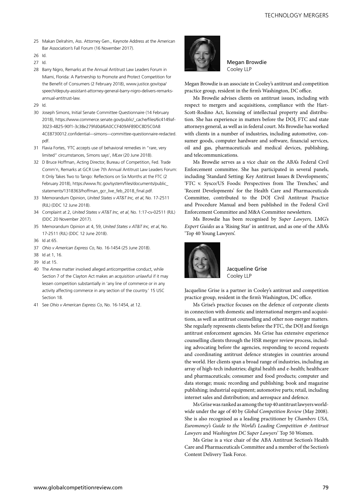- 25 Makan Delrahim, Ass. Attorney Gen., Keynote Address at the American Bar Association's Fall Forum (16 November 2017).
- 26 Id.

27 Id.

- 28 Barry Nigro, Remarks at the Annual Antitrust Law Leaders Forum in Miami, Florida: A Partnership to Promote and Protect Competition for the Benefit of Consumers (2 February 2018), www.justice.gov/opa/ speech/deputy-assistant-attorney-general-barry-nigro-delivers-remarksannual-antitrust-law.
- 29 Id.
- 30 Joseph Simons, Initial Senate Committee Questionnaire (14 February 2018), https://www.commerce.senate.gov/public/\_cache/files/6c4149af-3023-4825-90f1-3c38e279fd0d/6A0CCF409AF89DC8D5C0A8 4CE8730012.confidential---simons---committee-questionnaire-redacted. pdf.
- 31 Flavia Fortes, 'FTC accepts use of behavioral remedies in "rare, very limited" circumstances, Simons says', *MLex* (20 June 2018).
- 32 D Bruce Hoffman, Acting Director, Bureau of Competition, Fed. Trade Comm'n, Remarks at GCR Live 7th Annual Antitrust Law Leaders Forum: It Only Takes Two to Tango: Reflections on Six Months at the FTC (2 February 2018), https://www.ftc.gov/system/files/documents/public\_ statements/1318363/hoffman\_gcr\_live\_feb\_2018\_final.pdf.
- 33 Memorandum Opinion, *United States v AT&T Inc, et al*, No. 17-2511 (RJL) (DDC 12 June 2018).
- 34 Complaint at 2, *United States v AT&T Inc, et al*, No. 1:17-cv-02511 (RJL) (DDC 20 November 2017).
- 35 Memorandum Opinion at 4, 59, *United States v AT&T Inc, et al*, No. 17-2511 (RJL) (DDC 12 June 2018).
- 36 Id at 65.
- 37 *Ohio v American Express Co*, No. 16-1454 (25 June 2018).
- 38 Id at 1, 16.
- 39 Id at 15.
- 40 The *Amex* matter involved alleged anticompetitive conduct, while Section 7 of the Clayton Act makes an acquisition unlawful if it may lessen competition substantially in 'any line of commerce or in any activity affecting commerce in any section of the country.' 15 USC Section 18.
- 41 See *Ohio v American Express Co*, No. 16-1454, at 12.



Megan Browdie Cooley LLP

Megan Browdie is an associate in Cooley's antitrust and competition practice group, resident in the firm's Washington, DC office.

Ms Browdie advises clients on antitrust issues, including with respect to mergers and acquisitions, compliance with the Hart-Scott-Rodino Act, licensing of intellectual property and distribution. She has experience in matters before the DOJ, FTC and state attorneys general, as well as in federal court. Ms Browdie has worked with clients in a number of industries, including automotive, consumer goods, computer hardware and software, financial services, oil and gas, pharmaceuticals and medical devices, publishing, and telecommunications.

Ms Browdie serves as a vice chair on the ABA's Federal Civil Enforcement committee. She has participated in several panels, including 'Standard Setting: Key Antitrust Issues & Developments,' 'FTC v. Sysco/US Foods: Perspectives from The Trenches,' and 'Recent Developments' for the Health Care and Pharmaceuticals Committee, contributed to the DOJ Civil Antitrust Practice and Procedure Manual and been published in the Federal Civil Enforcement Committee and M&A Committee newsletters.

Ms Browdie has been recognised by *Super Lawyers,* LMG's *Expert Guides* as a 'Rising Star' in antitrust, and as one of the ABA's 'Top 40 Young Lawyers'.



Jacqueline Grise Cooley LLP

Jacqueline Grise is a partner in Cooley's antitrust and competition practice group, resident in the firm's Washington, DC office.

Ms Grise's practice focuses on the defence of corporate clients in connection with domestic and international mergers and acquisitions, as well as antitrust counselling and other non-merger matters. She regularly represents clients before the FTC, the DOJ and foreign antitrust enforcement agencies. Ms Grise has extensive experience counselling clients through the HSR merger review process, including advocating before the agencies, responding to second requests and coordinating antitrust defence strategies in countries around the world. Her clients span a broad range of industries, including an array of high-tech industries; digital health and e-health; healthcare and pharmaceuticals; consumer and food products; computer and data storage; music recording and publishing; book and magazine publishing; industrial equipment; automotive parts; retail, including internet sales and distribution; and aerospace and defence.

Ms Grise was ranked as among the top 40 antitrust lawyers worldwide under the age of 40 by *Global Competition Review* (May 2008). She is also recognised as a leading practitioner by *Chambers USA, Euromoney's Guide to the World's Leading Competition & Antitrust Lawyers* and *Washington DC Super Lawyers*' Top 50 Women.

Ms Grise is a vice chair of the ABA Antitrust Section's Health Care and Pharmaceuticals Committee and a member of the Section's Content Delivery Task Force.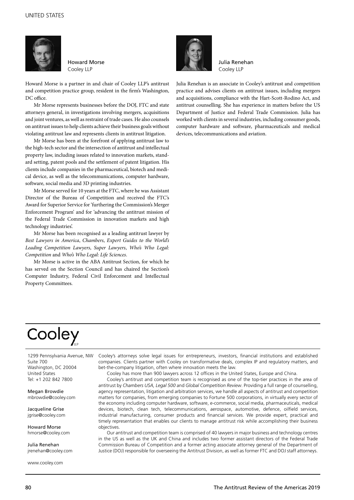

Howard Morse Cooley LLP

Howard Morse is a partner in and chair of Cooley LLP's antitrust and competition practice group, resident in the firm's Washington, DC office.

Mr Morse represents businesses before the DOJ, FTC and state attorneys general, in investigations involving mergers, acquisitions and joint ventures, as well as restraint of trade cases. He also counsels on antitrust issues to help clients achieve their business goals without violating antitrust law and represents clients in antitrust litigation.

Mr Morse has been at the forefront of applying antitrust law to the high-tech sector and the intersection of antitrust and intellectual property law, including issues related to innovation markets, standard setting, patent pools and the settlement of patent litigation. His clients include companies in the pharmaceutical, biotech and medical device, as well as the telecommunications, computer hardware, software, social media and 3D printing industries.

Mr Morse served for 10 years at the FTC, where he was Assistant Director of the Bureau of Competition and received the FTC's Award for Superior Service for 'furthering the Commission's Merger Enforcement Program' and for 'advancing the antitrust mission of the Federal Trade Commission in innovation markets and high technology industries'.

Mr Morse has been recognised as a leading antitrust lawyer by *Best Lawyers in America*, *Chambers*, *Expert Guides to the World's Leading Competition Lawyers*, *Super Lawyers*, *Who's Who Legal: Competition* and *Who's Who Legal: Life Sciences*.

Mr Morse is active in the ABA Antitrust Section, for which he has served on the Section Council and has chaired the Section's Computer Industry, Federal Civil Enforcement and Intellectual Property Committees.



Julia Renehan Cooley LLP

Julia Renehan is an associate in Cooley's antitrust and competition practice and advises clients on antitrust issues, including mergers and acquisitions, compliance with the Hart-Scott-Rodino Act, and antitrust counselling. She has experience in matters before the US Department of Justice and Federal Trade Commission. Julia has worked with clients in several industries, including consumer goods, computer hardware and software, pharmaceuticals and medical devices, telecommunications and aviation.

### Cooley

1299 Pennsylvania Avenue, NW Suite 700 Washington, DC 20004 United States Tel: +1 202 842 7800

Megan Browdie mbrowdie@cooley.com

Jacqueline Grise jgrise@cooley.com

Howard Morse hmorse@cooley.com

Julia Renehan jrenehan@cooley.com

www.cooley.com

Cooley's attorneys solve legal issues for entrepreneurs, investors, financial institutions and established companies. Clients partner with Cooley on transformative deals, complex IP and regulatory matters, and bet-the-company litigation, often where innovation meets the law.

Cooley has more than 900 lawyers across 12 offices in the United States, Europe and China.

Cooley's antitrust and competition team is recognised as one of the top-tier practices in the area of antitrust by *Chambers USA, Legal 500* and *Global Competition Review*. Providing a full range of counselling, agency representation, litigation and arbitration services, we handle all aspects of antitrust and competition matters for companies, from emerging companies to Fortune 500 corporations, in virtually every sector of the economy including computer hardware, software, e-commerce, social media, pharmaceuticals, medical devices, biotech, clean tech, telecommunications, aerospace, automotive, defence, oilfield services, industrial manufacturing, consumer products and financial services. We provide expert, practical and timely representation that enables our clients to manage antitrust risk while accomplishing their business objectives.

Our antitrust and competition team is comprised of 40 lawyers in major business and technology centres in the US as well as the UK and China and includes two former assistant directors of the Federal Trade Commission Bureau of Competition and a former acting associate attorney general of the Department of Justice (DOJ) responsible for overseeing the Antitrust Division, as well as former FTC and DOJ staff attorneys.